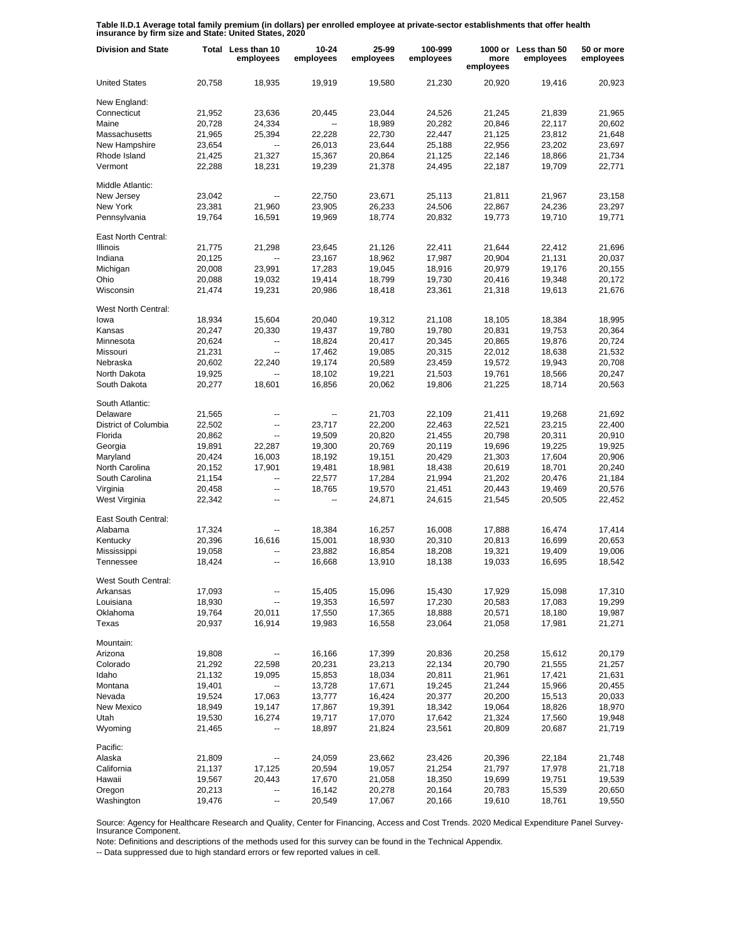**Table II.D.1 Average total family premium (in dollars) per enrolled employee at private-sector establishments that offer health insurance by firm size and State: United States, 2020**

| <b>Division and State</b> |                  | Total Less than 10<br>employees | 10-24<br>employees | 25-99<br>employees | 100-999<br>employees | more<br>employees | 1000 or Less than 50<br>employees | 50 or more<br>employees |
|---------------------------|------------------|---------------------------------|--------------------|--------------------|----------------------|-------------------|-----------------------------------|-------------------------|
| <b>United States</b>      | 20,758           | 18,935                          | 19,919             | 19,580             | 21,230               | 20,920            | 19,416                            | 20,923                  |
| New England:              |                  |                                 |                    |                    |                      |                   |                                   |                         |
| Connecticut               | 21,952           | 23,636                          | 20,445             | 23,044             | 24,526               | 21,245            | 21,839                            | 21,965                  |
| Maine                     | 20,728           | 24,334                          |                    | 18,989             | 20,282               | 20,846            | 22,117                            | 20,602                  |
| Massachusetts             | 21,965           | 25,394                          | 22,228             | 22,730             | 22,447               | 21,125            | 23,812                            | 21,648                  |
| New Hampshire             | 23,654           | $\overline{\phantom{a}}$        | 26,013             | 23,644             | 25,188               | 22,956            | 23,202                            | 23,697                  |
| Rhode Island              | 21,425           | 21,327                          | 15,367             | 20,864             | 21,125               | 22,146            | 18,866                            | 21,734                  |
| Vermont                   | 22,288           | 18,231                          | 19,239             | 21,378             | 24,495               | 22,187            | 19,709                            | 22,771                  |
| Middle Atlantic:          |                  |                                 |                    |                    |                      |                   |                                   |                         |
| New Jersey                | 23,042           | ۰.                              | 22,750             | 23,671             | 25,113               | 21,811            | 21,967                            | 23,158                  |
| New York                  | 23,381           | 21,960                          | 23,905             | 26,233             | 24,506               | 22,867            | 24,236                            | 23,297                  |
| Pennsylvania              | 19,764           | 16,591                          | 19,969             | 18,774             | 20,832               | 19,773            | 19,710                            | 19,771                  |
| East North Central:       |                  |                                 |                    |                    |                      |                   |                                   |                         |
| Illinois                  | 21,775           | 21,298                          | 23,645             | 21,126             | 22,411               | 21,644            | 22,412                            | 21,696                  |
| Indiana                   | 20,125           | --                              | 23,167             | 18,962             | 17,987               | 20,904            | 21,131                            | 20,037                  |
| Michigan                  | 20,008           | 23,991                          | 17,283             | 19,045             | 18,916               | 20,979            | 19,176                            | 20,155                  |
| Ohio                      | 20,088           | 19,032                          | 19,414             | 18,799             | 19,730               | 20,416            | 19,348                            | 20,172                  |
| Wisconsin                 | 21,474           | 19,231                          | 20,986             | 18,418             | 23,361               | 21,318            | 19,613                            | 21,676                  |
| West North Central:       |                  |                                 |                    |                    |                      |                   |                                   |                         |
| lowa                      | 18,934           | 15,604                          | 20,040             | 19,312             | 21,108               | 18,105            | 18,384                            | 18,995                  |
| Kansas                    | 20,247           | 20,330                          | 19,437             | 19,780             | 19,780               | 20,831            | 19,753                            | 20,364                  |
| Minnesota                 | 20,624           | ۰.                              | 18,824             | 20,417             | 20,345               | 20,865            | 19,876                            | 20,724                  |
| Missouri                  | 21,231           | $\overline{\phantom{a}}$        | 17,462             | 19,085             | 20,315               | 22,012            | 18,638                            | 21,532                  |
| Nebraska                  | 20,602           | 22,240                          | 19,174             | 20,589             | 23,459               | 19,572            | 19,943                            | 20,708                  |
| North Dakota              | 19,925           | $\overline{\phantom{a}}$        | 18,102             | 19,221             | 21,503               | 19,761            | 18,566                            | 20,247                  |
| South Dakota              | 20,277           | 18,601                          | 16,856             | 20,062             | 19,806               | 21,225            | 18,714                            | 20,563                  |
| South Atlantic:           |                  |                                 |                    |                    |                      |                   |                                   |                         |
| Delaware                  | 21,565           | --                              | --                 | 21,703             | 22,109               | 21,411            | 19,268                            | 21,692                  |
| District of Columbia      | 22,502           | --                              | 23,717             | 22,200             | 22,463               | 22,521            | 23,215                            | 22,400                  |
| Florida                   | 20,862           | $\overline{\phantom{a}}$        | 19,509             | 20,820             | 21,455               | 20,798            | 20,311                            | 20,910                  |
| Georgia                   | 19,891           | 22,287                          | 19,300             | 20,769             | 20,119               | 19,696            | 19,225                            | 19,925                  |
| Maryland                  | 20,424           | 16,003                          | 18,192             | 19,151             | 20,429               | 21,303            | 17,604                            | 20,906                  |
| North Carolina            | 20,152           | 17,901                          | 19,481             | 18,981             | 18,438               | 20,619            | 18,701                            | 20,240                  |
| South Carolina            | 21,154           | $\overline{a}$                  | 22,577             | 17,284             | 21,994               | 21,202            | 20,476                            | 21,184                  |
| Virginia                  | 20,458           | --                              | 18,765             | 19,570             | 21,451               | 20,443            | 19,469                            | 20,576                  |
| West Virginia             | 22,342           | --                              | --                 | 24,871             | 24,615               | 21,545            | 20,505                            | 22,452                  |
| East South Central:       |                  |                                 |                    |                    |                      |                   |                                   |                         |
| Alabama                   | 17,324           | --                              | 18,384             | 16,257             | 16,008               | 17,888            | 16,474                            | 17,414                  |
| Kentucky                  | 20,396           | 16,616                          | 15,001             | 18,930             | 20,310               | 20,813            | 16,699                            | 20,653                  |
| Mississippi               | 19,058           | --                              | 23,882             | 16,854             | 18,208               | 19,321            | 19,409                            | 19,006                  |
| Tennessee                 | 18,424           | $\overline{a}$                  | 16,668             | 13,910             | 18,138               | 19,033            | 16,695                            | 18,542                  |
| West South Central:       |                  |                                 |                    |                    |                      |                   |                                   |                         |
| Arkansas                  | 17,093           |                                 | 15,405             | 15,096             | 15,430               | 17,929            | 15,098                            | 17,310                  |
| Louisiana                 | 18,930           |                                 | 19,353             | 16,597             | 17,230               | 20,583            | 17,083                            | 19,299                  |
| Oklahoma<br>Texas         | 19,764<br>20,937 | 20,011<br>16,914                | 17,550<br>19,983   | 17,365<br>16,558   | 18,888<br>23,064     | 20,571<br>21,058  | 18,180<br>17,981                  | 19,987<br>21,271        |
|                           |                  |                                 |                    |                    |                      |                   |                                   |                         |
| Mountain:                 |                  |                                 |                    |                    |                      |                   |                                   |                         |
| Arizona                   | 19,808           |                                 | 16,166             | 17,399             | 20,836               | 20,258            | 15,612                            | 20,179                  |
| Colorado                  | 21,292           | 22,598                          | 20,231             | 23,213             | 22,134               | 20,790            | 21,555                            | 21,257                  |
| Idaho                     | 21,132           | 19,095                          | 15,853             | 18,034             | 20,811               | 21,961            | 17,421                            | 21,631                  |
| Montana                   | 19,401           | $\overline{\phantom{a}}$        | 13,728             | 17,671             | 19,245               | 21,244            | 15,966                            | 20,455                  |
| Nevada                    | 19,524           | 17,063                          | 13,777             | 16,424             | 20,377               | 20,200            | 15,513                            | 20,033                  |
| New Mexico                | 18,949           | 19,147                          | 17,867             | 19,391             | 18,342               | 19,064            | 18,826                            | 18,970                  |
| Utah                      | 19,530           | 16,274                          | 19,717             | 17,070             | 17,642               | 21,324            | 17,560                            | 19,948                  |
| Wyoming                   | 21,465           |                                 | 18,897             | 21,824             | 23,561               | 20,809            | 20,687                            | 21,719                  |
| Pacific:                  |                  |                                 |                    |                    |                      |                   |                                   |                         |
| Alaska                    | 21,809           |                                 | 24,059             | 23,662             | 23,426               | 20,396            | 22,184                            | 21,748                  |
| California                | 21,137           | 17,125                          | 20,594             | 19,057             | 21,254               | 21,797            | 17,978                            | 21,718                  |
| Hawaii                    | 19,567           | 20,443                          | 17,670             | 21,058             | 18,350               | 19,699            | 19,751                            | 19,539                  |
| Oregon                    | 20,213           |                                 | 16,142             | 20,278             | 20,164               | 20,783            | 15,539                            | 20,650                  |
| Washington                | 19,476           | --                              | 20,549             | 17,067             | 20,166               | 19,610            | 18,761                            | 19,550                  |

Source: Agency for Healthcare Research and Quality, Center for Financing, Access and Cost Trends. 2020 Medical Expenditure Panel Survey-Insurance Component.

Note: Definitions and descriptions of the methods used for this survey can be found in the Technical Appendix.

-- Data suppressed due to high standard errors or few reported values in cell.